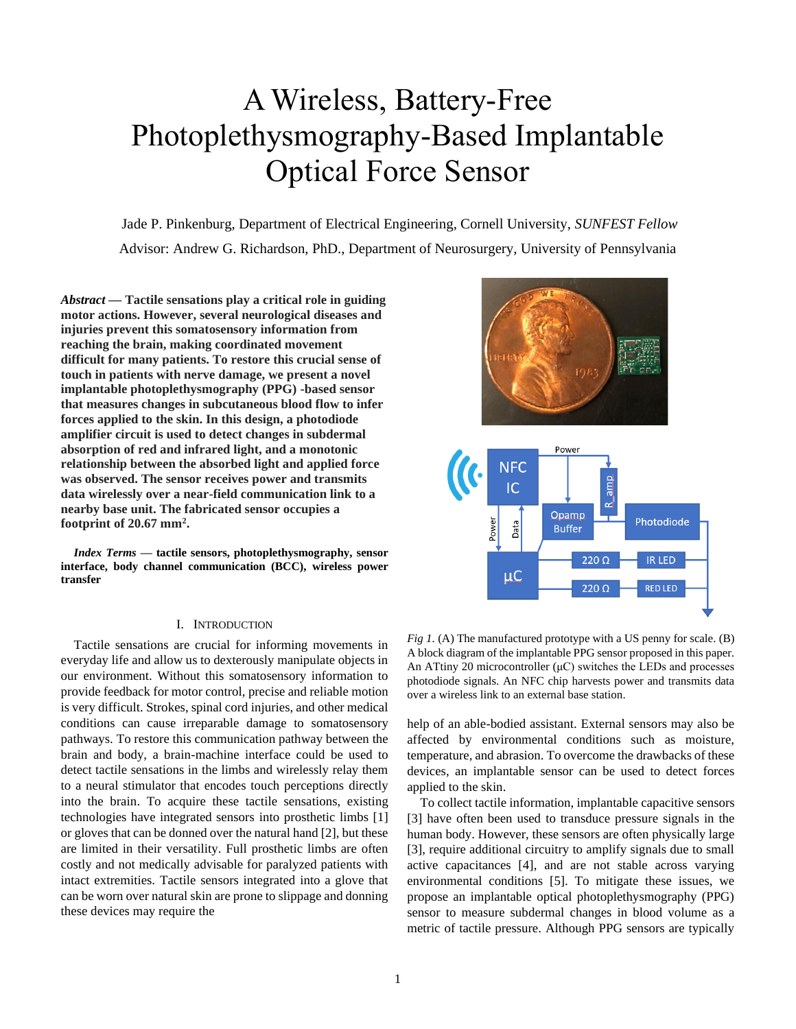# A Wireless, Battery-Free Photoplethysmography-Based Implantable Optical Force Sensor

Jade P. Pinkenburg, Department of Electrical Engineering, Cornell University, *SUNFEST Fellow* Advisor: Andrew G. Richardson, PhD., Department of Neurosurgery, University of Pennsylvania

*Abstract* **— Tactile sensations play a critical role in guiding motor actions. However, several neurological diseases and injuries prevent this somatosensory information from reaching the brain, making coordinated movement difficult for many patients. To restore this crucial sense of touch in patients with nerve damage, we present a novel implantable photoplethysmography (PPG) -based sensor that measures changes in subcutaneous blood flow to infer forces applied to the skin. In this design, a photodiode amplifier circuit is used to detect changes in subdermal absorption of red and infrared light, and a monotonic relationship between the absorbed light and applied force was observed. The sensor receives power and transmits data wirelessly over a near-field communication link to a nearby base unit. The fabricated sensor occupies a footprint of 20.67 mm<sup>2</sup> .**

*Index Terms* **— tactile sensors, photoplethysmography, sensor interface, body channel communication (BCC), wireless power transfer**

# I. INTRODUCTION

Tactile sensations are crucial for informing movements in everyday life and allow us to dexterously manipulate objects in our environment. Without this somatosensory information to provide feedback for motor control, precise and reliable motion is very difficult. Strokes, spinal cord injuries, and other medical conditions can cause irreparable damage to somatosensory pathways. To restore this communication pathway between the brain and body, a brain-machine interface could be used to detect tactile sensations in the limbs and wirelessly relay them to a neural stimulator that encodes touch perceptions directly into the brain. To acquire these tactile sensations, existing technologies have integrated sensors into prosthetic limbs [1] or gloves that can be donned over the natural hand [2], but these are limited in their versatility. Full prosthetic limbs are often costly and not medically advisable for paralyzed patients with intact extremities. Tactile sensors integrated into a glove that can be worn over natural skin are prone to slippage and donning these devices may require the



*Fig 1.* (A) The manufactured prototype with a US penny for scale. (B) A block diagram of the implantable PPG sensor proposed in this paper. An ATtiny 20 microcontroller  $(\mu C)$  switches the LEDs and processes photodiode signals. An NFC chip harvests power and transmits data over a wireless link to an external base station.

help of an able-bodied assistant. External sensors may also be affected by environmental conditions such as moisture, temperature, and abrasion. To overcome the drawbacks of these devices, an implantable sensor can be used to detect forces applied to the skin.

To collect tactile information, implantable capacitive sensors [3] have often been used to transduce pressure signals in the human body. However, these sensors are often physically large [3], require additional circuitry to amplify signals due to small active capacitances [4], and are not stable across varying environmental conditions [5]. To mitigate these issues, we propose an implantable optical photoplethysmography (PPG) sensor to measure subdermal changes in blood volume as a metric of tactile pressure. Although PPG sensors are typically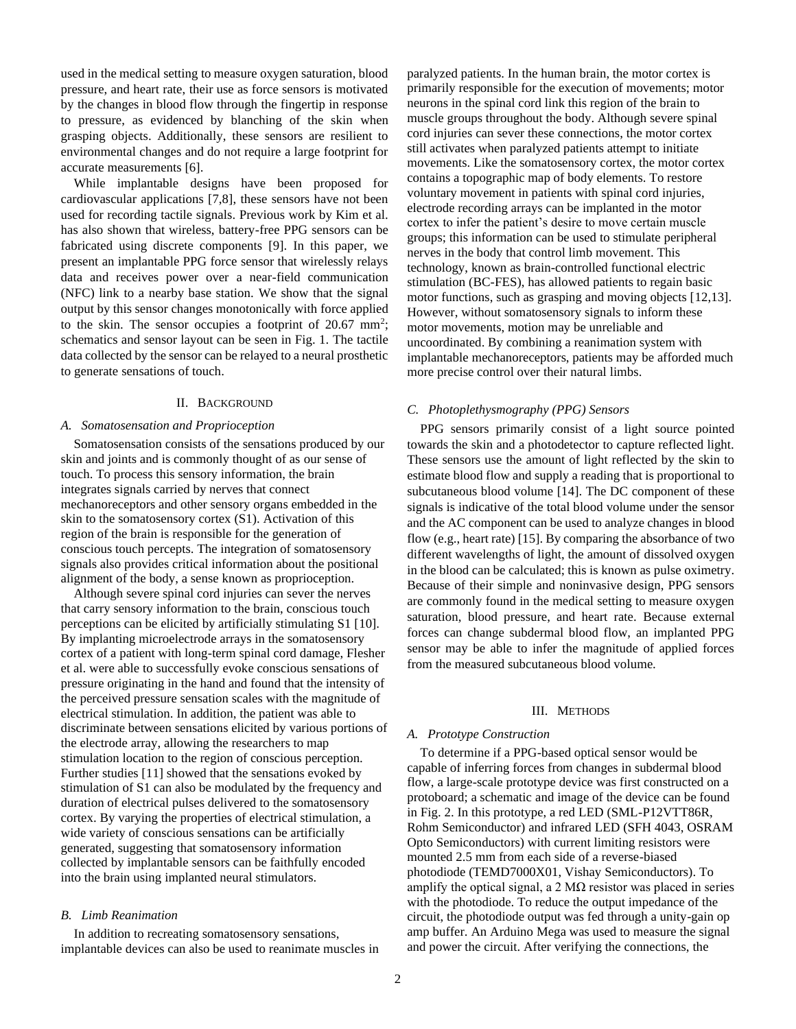used in the medical setting to measure oxygen saturation, blood pressure, and heart rate, their use as force sensors is motivated by the changes in blood flow through the fingertip in response to pressure, as evidenced by blanching of the skin when grasping objects. Additionally, these sensors are resilient to environmental changes and do not require a large footprint for accurate measurements [6].

While implantable designs have been proposed for cardiovascular applications [7,8], these sensors have not been used for recording tactile signals. Previous work by Kim et al. has also shown that wireless, battery-free PPG sensors can be fabricated using discrete components [9]. In this paper, we present an implantable PPG force sensor that wirelessly relays data and receives power over a near-field communication (NFC) link to a nearby base station. We show that the signal output by this sensor changes monotonically with force applied to the skin. The sensor occupies a footprint of  $20.67 \text{ mm}^2$ ; schematics and sensor layout can be seen in Fig. 1. The tactile data collected by the sensor can be relayed to a neural prosthetic to generate sensations of touch.

#### II. BACKGROUND

#### *A. Somatosensation and Proprioception*

Somatosensation consists of the sensations produced by our skin and joints and is commonly thought of as our sense of touch. To process this sensory information, the brain integrates signals carried by nerves that connect mechanoreceptors and other sensory organs embedded in the skin to the somatosensory cortex (S1). Activation of this region of the brain is responsible for the generation of conscious touch percepts. The integration of somatosensory signals also provides critical information about the positional alignment of the body, a sense known as proprioception.

Although severe spinal cord injuries can sever the nerves that carry sensory information to the brain, conscious touch perceptions can be elicited by artificially stimulating S1 [10]. By implanting microelectrode arrays in the somatosensory cortex of a patient with long-term spinal cord damage, Flesher et al. were able to successfully evoke conscious sensations of pressure originating in the hand and found that the intensity of the perceived pressure sensation scales with the magnitude of electrical stimulation. In addition, the patient was able to discriminate between sensations elicited by various portions of the electrode array, allowing the researchers to map stimulation location to the region of conscious perception. Further studies [11] showed that the sensations evoked by stimulation of S1 can also be modulated by the frequency and duration of electrical pulses delivered to the somatosensory cortex. By varying the properties of electrical stimulation, a wide variety of conscious sensations can be artificially generated, suggesting that somatosensory information collected by implantable sensors can be faithfully encoded into the brain using implanted neural stimulators.

# *B. Limb Reanimation*

In addition to recreating somatosensory sensations, implantable devices can also be used to reanimate muscles in paralyzed patients. In the human brain, the motor cortex is primarily responsible for the execution of movements; motor neurons in the spinal cord link this region of the brain to muscle groups throughout the body. Although severe spinal cord injuries can sever these connections, the motor cortex still activates when paralyzed patients attempt to initiate movements. Like the somatosensory cortex, the motor cortex contains a topographic map of body elements. To restore voluntary movement in patients with spinal cord injuries, electrode recording arrays can be implanted in the motor cortex to infer the patient's desire to move certain muscle groups; this information can be used to stimulate peripheral nerves in the body that control limb movement. This technology, known as brain-controlled functional electric stimulation (BC-FES), has allowed patients to regain basic motor functions, such as grasping and moving objects [12,13]. However, without somatosensory signals to inform these motor movements, motion may be unreliable and uncoordinated. By combining a reanimation system with implantable mechanoreceptors, patients may be afforded much more precise control over their natural limbs.

# *C. Photoplethysmography (PPG) Sensors*

PPG sensors primarily consist of a light source pointed towards the skin and a photodetector to capture reflected light. These sensors use the amount of light reflected by the skin to estimate blood flow and supply a reading that is proportional to subcutaneous blood volume [14]. The DC component of these signals is indicative of the total blood volume under the sensor and the AC component can be used to analyze changes in blood flow (e.g., heart rate) [15]. By comparing the absorbance of two different wavelengths of light, the amount of dissolved oxygen in the blood can be calculated; this is known as pulse oximetry. Because of their simple and noninvasive design, PPG sensors are commonly found in the medical setting to measure oxygen saturation, blood pressure, and heart rate. Because external forces can change subdermal blood flow, an implanted PPG sensor may be able to infer the magnitude of applied forces from the measured subcutaneous blood volume.

## III. METHODS

# *A. Prototype Construction*

To determine if a PPG-based optical sensor would be capable of inferring forces from changes in subdermal blood flow, a large-scale prototype device was first constructed on a protoboard; a schematic and image of the device can be found in Fig. 2. In this prototype, a red LED (SML-P12VTT86R, Rohm Semiconductor) and infrared LED (SFH 4043, OSRAM Opto Semiconductors) with current limiting resistors were mounted 2.5 mm from each side of a reverse-biased photodiode (TEMD7000X01, Vishay Semiconductors). To amplify the optical signal, a 2  $\text{M}\Omega$  resistor was placed in series with the photodiode. To reduce the output impedance of the circuit, the photodiode output was fed through a unity-gain op amp buffer. An Arduino Mega was used to measure the signal and power the circuit. After verifying the connections, the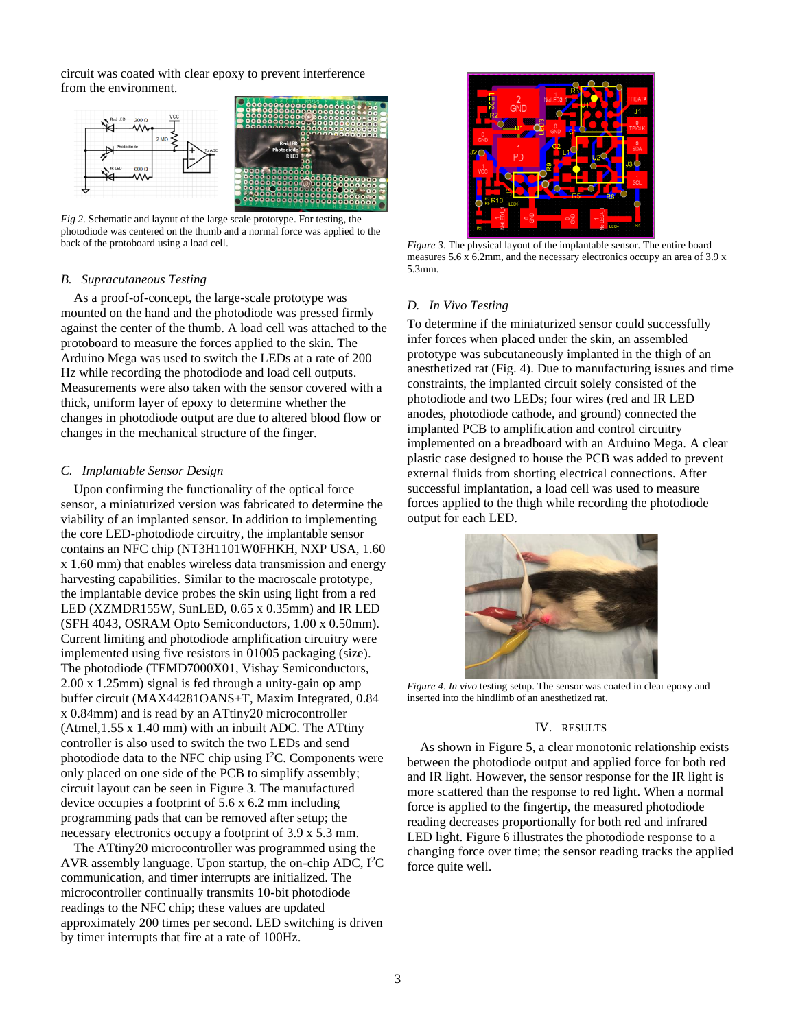circuit was coated with clear epoxy to prevent interference from the environment.



*Fig 2*. Schematic and layout of the large scale prototype. For testing, the photodiode was centered on the thumb and a normal force was applied to the back of the protoboard using a load cell.

## *B. Supracutaneous Testing*

As a proof-of-concept, the large-scale prototype was mounted on the hand and the photodiode was pressed firmly against the center of the thumb. A load cell was attached to the protoboard to measure the forces applied to the skin. The Arduino Mega was used to switch the LEDs at a rate of 200 Hz while recording the photodiode and load cell outputs. Measurements were also taken with the sensor covered with a thick, uniform layer of epoxy to determine whether the changes in photodiode output are due to altered blood flow or changes in the mechanical structure of the finger.

## *C. Implantable Sensor Design*

Upon confirming the functionality of the optical force sensor, a miniaturized version was fabricated to determine the viability of an implanted sensor. In addition to implementing the core LED-photodiode circuitry, the implantable sensor contains an NFC chip (NT3H1101W0FHKH, NXP USA, 1.60 x 1.60 mm) that enables wireless data transmission and energy harvesting capabilities. Similar to the macroscale prototype, the implantable device probes the skin using light from a red LED (XZMDR155W, SunLED, 0.65 x 0.35mm) and IR LED (SFH 4043, OSRAM Opto Semiconductors, 1.00 x 0.50mm). Current limiting and photodiode amplification circuitry were implemented using five resistors in 01005 packaging (size). The photodiode (TEMD7000X01, Vishay Semiconductors, 2.00 x 1.25mm) signal is fed through a unity-gain op amp buffer circuit (MAX44281OANS+T, Maxim Integrated, 0.84 x 0.84mm) and is read by an ATtiny20 microcontroller (Atmel,1.55 x 1.40 mm) with an inbuilt ADC. The ATtiny controller is also used to switch the two LEDs and send photodiode data to the NFC chip using  $I<sup>2</sup>C$ . Components were only placed on one side of the PCB to simplify assembly; circuit layout can be seen in Figure 3. The manufactured device occupies a footprint of 5.6 x 6.2 mm including programming pads that can be removed after setup; the necessary electronics occupy a footprint of 3.9 x 5.3 mm.

The ATtiny20 microcontroller was programmed using the AVR assembly language. Upon startup, the on-chip ADC, I<sup>2</sup>C communication, and timer interrupts are initialized. The microcontroller continually transmits 10-bit photodiode readings to the NFC chip; these values are updated approximately 200 times per second. LED switching is driven by timer interrupts that fire at a rate of 100Hz.



*Figure 3*. The physical layout of the implantable sensor. The entire board measures 5.6 x 6.2mm, and the necessary electronics occupy an area of 3.9 x 5.3mm.

# *D. In Vivo Testing*

To determine if the miniaturized sensor could successfully infer forces when placed under the skin, an assembled prototype was subcutaneously implanted in the thigh of an anesthetized rat (Fig. 4). Due to manufacturing issues and time constraints, the implanted circuit solely consisted of the photodiode and two LEDs; four wires (red and IR LED anodes, photodiode cathode, and ground) connected the implanted PCB to amplification and control circuitry implemented on a breadboard with an Arduino Mega. A clear plastic case designed to house the PCB was added to prevent external fluids from shorting electrical connections. After successful implantation, a load cell was used to measure forces applied to the thigh while recording the photodiode output for each LED.



*Figure 4*. *In vivo* testing setup. The sensor was coated in clear epoxy and inserted into the hindlimb of an anesthetized rat.

# IV. RESULTS

As shown in Figure 5, a clear monotonic relationship exists between the photodiode output and applied force for both red and IR light. However, the sensor response for the IR light is more scattered than the response to red light. When a normal force is applied to the fingertip, the measured photodiode reading decreases proportionally for both red and infrared LED light. Figure 6 illustrates the photodiode response to a changing force over time; the sensor reading tracks the applied force quite well.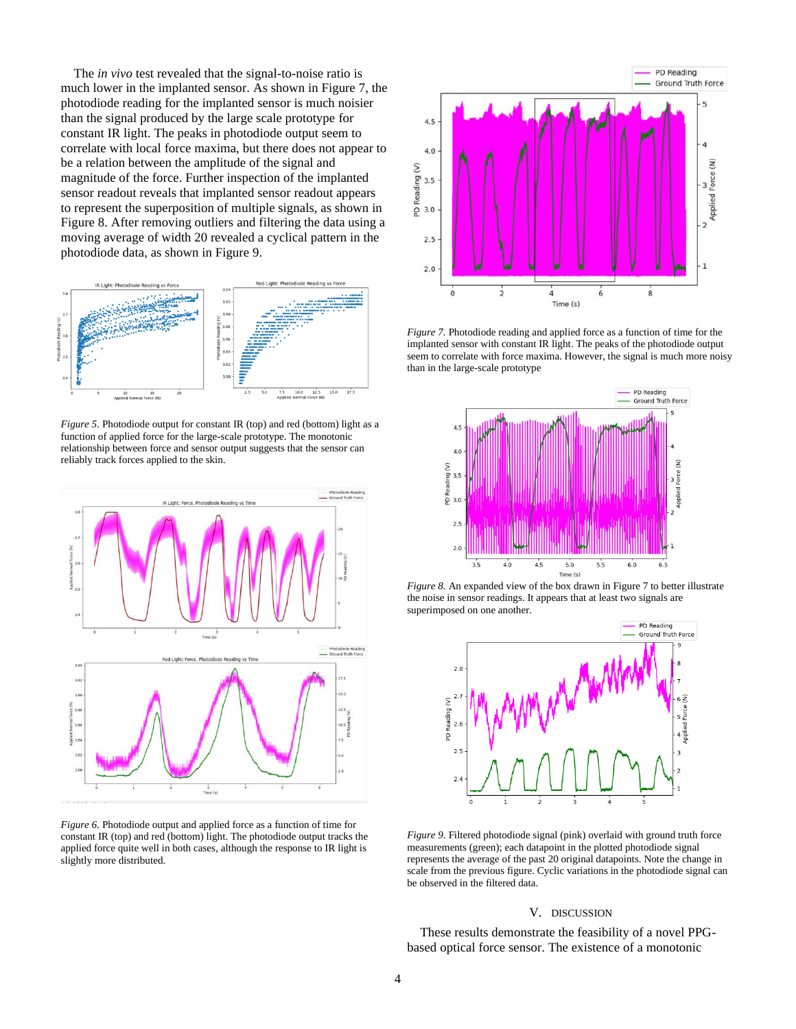The *in vivo* test revealed that the signal-to-noise ratio is much lower in the implanted sensor. As shown in Figure 7, the photodiode reading for the implanted sensor is much noisier than the signal produced by the large scale prototype for constant IR light. The peaks in photodiode output seem to correlate with local force maxima, but there does not appear to be a relation between the amplitude of the signal and magnitude of the force. Further inspection of the implanted sensor readout reveals that implanted sensor readout appears to represent the superposition of multiple signals, as shown in Figure 8. After removing outliers and filtering the data using a moving average of width 20 revealed a cyclical pattern in the photodiode data, as shown in Figure 9.



*Figure 5.* Photodiode output for constant IR (top) and red (bottom) light as a function of applied force for the large-scale prototype. The monotonic relationship between force and sensor output suggests that the sensor can reliably track forces applied to the skin.



*Figure 6.* Photodiode output and applied force as a function of time for constant IR (top) and red (bottom) light. The photodiode output tracks the applied force quite well in both cases, although the response to IR light is slightly more distributed.



*Figure 7.* Photodiode reading and applied force as a function of time for the implanted sensor with constant IR light. The peaks of the photodiode output seem to correlate with force maxima. However, the signal is much more noisy than in the large-scale prototype



*Figure 8.* An expanded view of the box drawn in Figure 7 to better illustrate the noise in sensor readings. It appears that at least two signals are superimposed on one another.



*Figure 9.* Filtered photodiode signal (pink) overlaid with ground truth force measurements (green); each datapoint in the plotted photodiode signal represents the average of the past 20 original datapoints. Note the change in scale from the previous figure. Cyclic variations in the photodiode signal can be observed in the filtered data.

#### V. DISCUSSION

These results demonstrate the feasibility of a novel PPGbased optical force sensor. The existence of a monotonic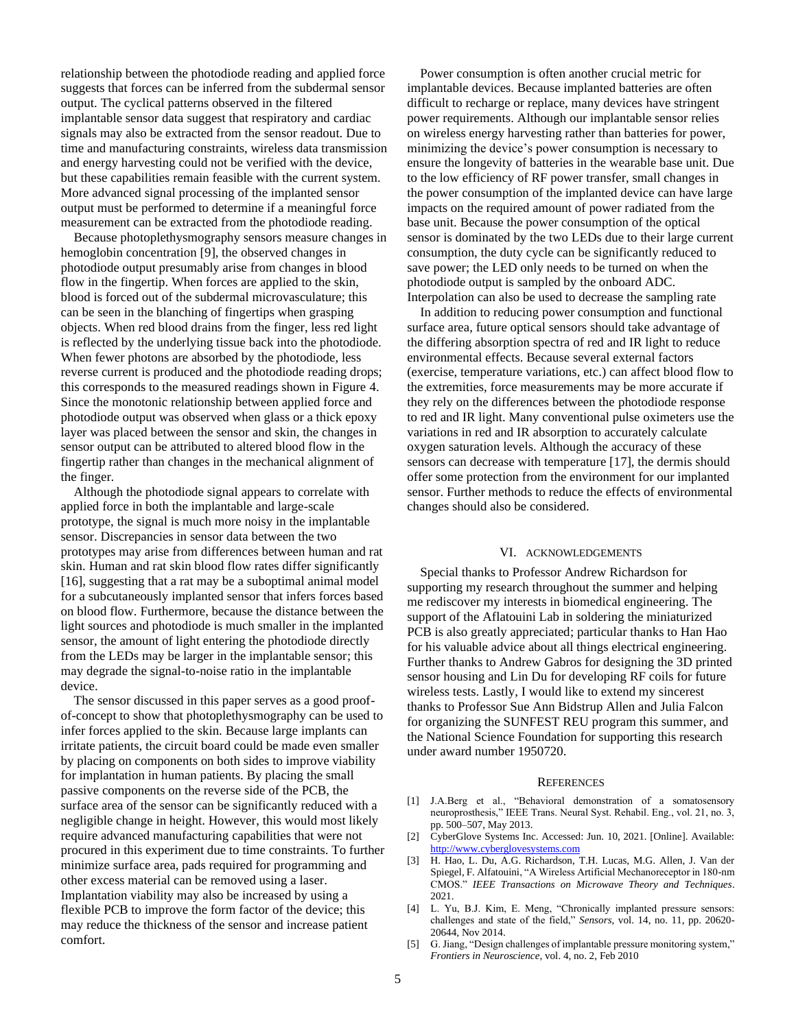relationship between the photodiode reading and applied force suggests that forces can be inferred from the subdermal sensor output. The cyclical patterns observed in the filtered implantable sensor data suggest that respiratory and cardiac signals may also be extracted from the sensor readout. Due to time and manufacturing constraints, wireless data transmission and energy harvesting could not be verified with the device, but these capabilities remain feasible with the current system. More advanced signal processing of the implanted sensor output must be performed to determine if a meaningful force measurement can be extracted from the photodiode reading.

Because photoplethysmography sensors measure changes in hemoglobin concentration [9], the observed changes in photodiode output presumably arise from changes in blood flow in the fingertip. When forces are applied to the skin, blood is forced out of the subdermal microvasculature; this can be seen in the blanching of fingertips when grasping objects. When red blood drains from the finger, less red light is reflected by the underlying tissue back into the photodiode. When fewer photons are absorbed by the photodiode, less reverse current is produced and the photodiode reading drops; this corresponds to the measured readings shown in Figure 4. Since the monotonic relationship between applied force and photodiode output was observed when glass or a thick epoxy layer was placed between the sensor and skin, the changes in sensor output can be attributed to altered blood flow in the fingertip rather than changes in the mechanical alignment of the finger.

Although the photodiode signal appears to correlate with applied force in both the implantable and large-scale prototype, the signal is much more noisy in the implantable sensor. Discrepancies in sensor data between the two prototypes may arise from differences between human and rat skin. Human and rat skin blood flow rates differ significantly [16], suggesting that a rat may be a suboptimal animal model for a subcutaneously implanted sensor that infers forces based on blood flow. Furthermore, because the distance between the light sources and photodiode is much smaller in the implanted sensor, the amount of light entering the photodiode directly from the LEDs may be larger in the implantable sensor; this may degrade the signal-to-noise ratio in the implantable device.

The sensor discussed in this paper serves as a good proofof-concept to show that photoplethysmography can be used to infer forces applied to the skin. Because large implants can irritate patients, the circuit board could be made even smaller by placing on components on both sides to improve viability for implantation in human patients. By placing the small passive components on the reverse side of the PCB, the surface area of the sensor can be significantly reduced with a negligible change in height. However, this would most likely require advanced manufacturing capabilities that were not procured in this experiment due to time constraints. To further minimize surface area, pads required for programming and other excess material can be removed using a laser. Implantation viability may also be increased by using a flexible PCB to improve the form factor of the device; this may reduce the thickness of the sensor and increase patient comfort.

Power consumption is often another crucial metric for implantable devices. Because implanted batteries are often difficult to recharge or replace, many devices have stringent power requirements. Although our implantable sensor relies on wireless energy harvesting rather than batteries for power, minimizing the device's power consumption is necessary to ensure the longevity of batteries in the wearable base unit. Due to the low efficiency of RF power transfer, small changes in the power consumption of the implanted device can have large impacts on the required amount of power radiated from the base unit. Because the power consumption of the optical sensor is dominated by the two LEDs due to their large current consumption, the duty cycle can be significantly reduced to save power; the LED only needs to be turned on when the photodiode output is sampled by the onboard ADC. Interpolation can also be used to decrease the sampling rate

In addition to reducing power consumption and functional surface area, future optical sensors should take advantage of the differing absorption spectra of red and IR light to reduce environmental effects. Because several external factors (exercise, temperature variations, etc.) can affect blood flow to the extremities, force measurements may be more accurate if they rely on the differences between the photodiode response to red and IR light. Many conventional pulse oximeters use the variations in red and IR absorption to accurately calculate oxygen saturation levels. Although the accuracy of these sensors can decrease with temperature [17], the dermis should offer some protection from the environment for our implanted sensor. Further methods to reduce the effects of environmental changes should also be considered.

## VI. ACKNOWLEDGEMENTS

Special thanks to Professor Andrew Richardson for supporting my research throughout the summer and helping me rediscover my interests in biomedical engineering. The support of the Aflatouini Lab in soldering the miniaturized PCB is also greatly appreciated; particular thanks to Han Hao for his valuable advice about all things electrical engineering. Further thanks to Andrew Gabros for designing the 3D printed sensor housing and Lin Du for developing RF coils for future wireless tests. Lastly, I would like to extend my sincerest thanks to Professor Sue Ann Bidstrup Allen and Julia Falcon for organizing the SUNFEST REU program this summer, and the National Science Foundation for supporting this research under award number 1950720.

#### **REFERENCES**

- [1] J.A.Berg et al., "Behavioral demonstration of a somatosensory neuroprosthesis," IEEE Trans. Neural Syst. Rehabil. Eng., vol. 21, no. 3, pp. 500–507, May 2013.
- [2] CyberGlove Systems Inc. Accessed: Jun. 10, 2021. [Online]. Available: [http://www.cyberglovesystems.com](http://www.cyberglovesystems.com/)
- [3] H. Hao, L. Du, A.G. Richardson, T.H. Lucas, M.G. Allen, J. Van der Spiegel, F. Alfatouini, "A Wireless Artificial Mechanoreceptor in 180-nm CMOS." *IEEE Transactions on Microwave Theory and Techniques*. 2021.
- [4] L. Yu, B.J. Kim, E. Meng, "Chronically implanted pressure sensors: challenges and state of the field," *Sensors*, vol. 14, no. 11, pp. 20620- 20644, Nov 2014.
- [5] G. Jiang, "Design challenges of implantable pressure monitoring system," *Frontiers in Neuroscience*, vol. 4, no. 2, Feb 2010